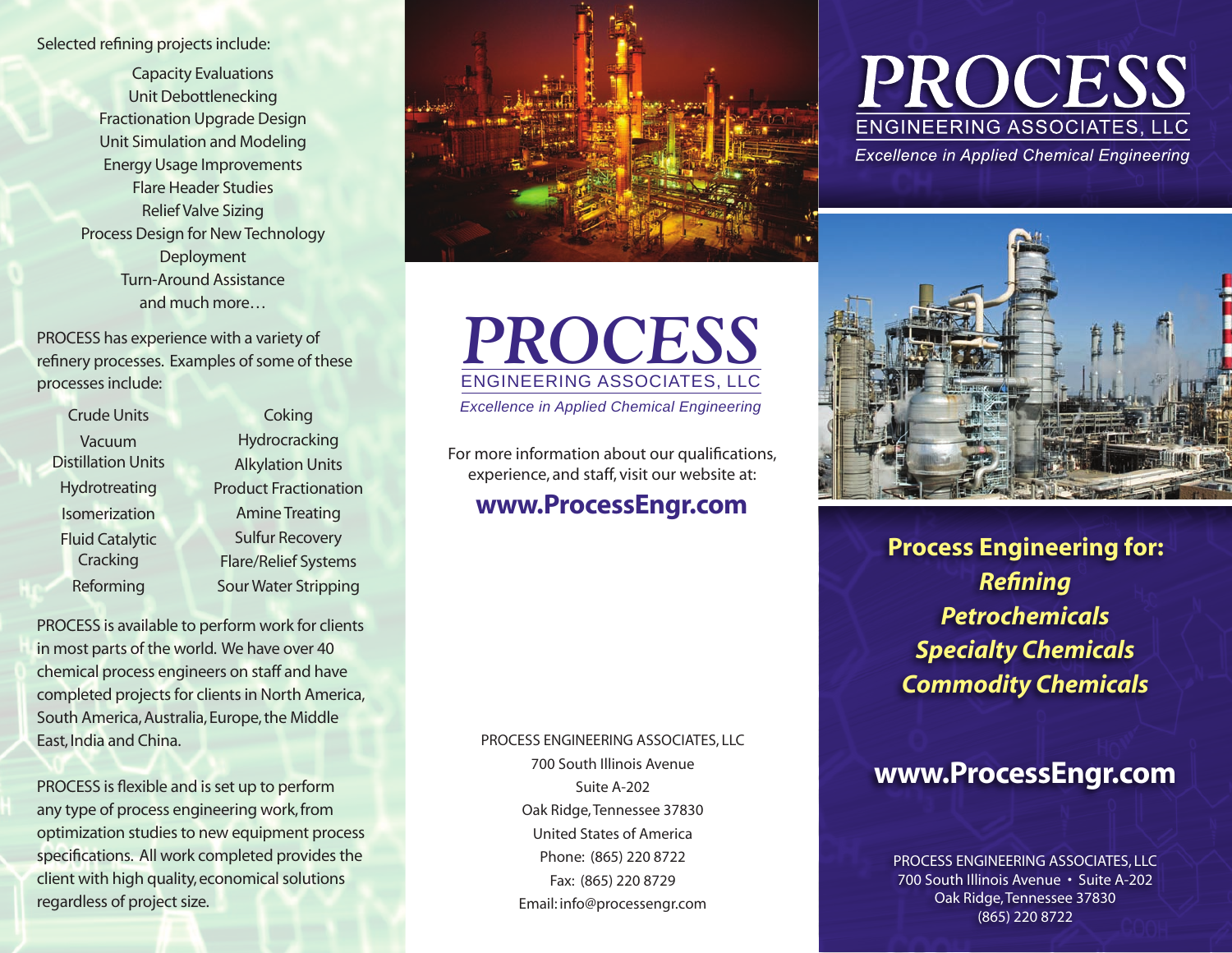Selected refining projects include:

Capacity Evaluations Unit Debottlenecking Fractionation Upgrade Design Unit Simulation and Modeling Energy Usage Improvements Flare Header Studies Relief Valve Sizing Process Design for New Technology Deployment Turn-Around Assistance and much more…

PROCESS has experience with a variety of refinery processes. Examples of some of these processes include:

| <b>Crude Units</b>                  |
|-------------------------------------|
| Vacuum<br><b>Distillation Units</b> |
|                                     |
| Hydrotreating                       |
| Isomerization                       |
| <b>Fluid Catalytic</b>              |
| Cracking                            |
| Reforming                           |
|                                     |

**Hydrocracking** Alkylation Units Product Fractionation Amine Treating Sulfur Recovery Flare/Relief Systems Sour Water Stripping

**Coking** 

PROCESS is available to perform work for clients in most parts of the world. We have over 40 chemical process engineers on staff and have completed projects for clients in North America, South America, Australia, Europe, the Middle East, India and China.

PROCESS is flexible and is set up to perform any type of process engineering work, from optimization studies to new equipment process specifications. All work completed provides the client with high quality, economical solutions regardless of project size.



## *PROCESS* ENGINEERING ASSOCIATES, LLC

*Excellence in Applied Chemical Engineering*

For more information about our qualifications, experience, and staff, visit our website at:

### www.ProcessEngr.com

PROCESS Engineering ASSOCIATES, LLC

700 South Illinois Avenue Suite A-202 Oak Ridge, Tennessee 37830 United States of America Phone: (865) 220 8722 Fax: (865) 220 8729 Email: info@processengr.com

# PROCESS **ENGINEERING ASSOCIATES, LLC**

**Excellence in Applied Chemical Engineering** 



**Process Engineering for:** *Refining Petrochemicals Specialty Chemicals Commodity Chemicals* 

## www.ProcessEngr.com

Process Engineering ASSOCIATES, LLC 700 South Illinois Avenue • Suite A-202 Oak Ridge, Tennessee 37830 (865) 220 8722